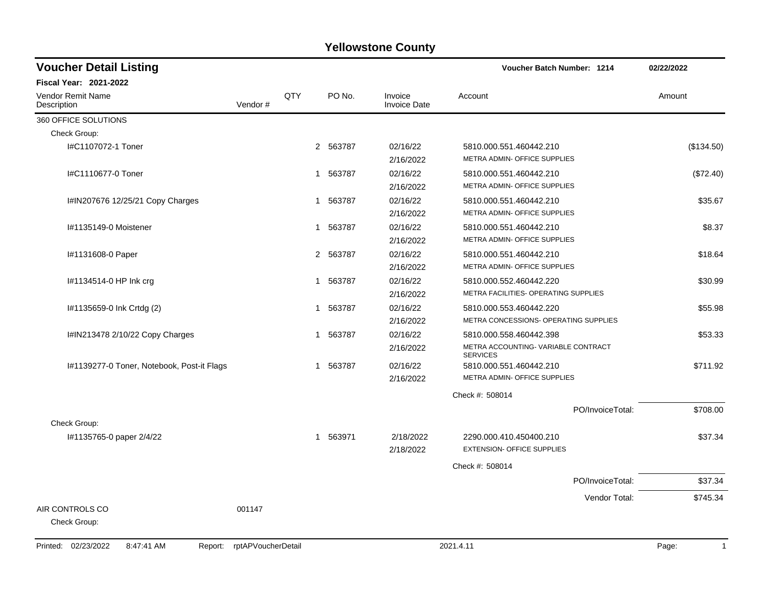| <b>Voucher Detail Listing</b>                |                    |            |             | <b>Voucher Batch Number: 1214</b> | 02/22/2022                                                                       |                       |  |
|----------------------------------------------|--------------------|------------|-------------|-----------------------------------|----------------------------------------------------------------------------------|-----------------------|--|
| <b>Fiscal Year: 2021-2022</b>                |                    |            |             |                                   |                                                                                  |                       |  |
| <b>Vendor Remit Name</b><br>Description      | Vendor#            | <b>QTY</b> | PO No.      | Invoice<br><b>Invoice Date</b>    | Account                                                                          | Amount                |  |
| 360 OFFICE SOLUTIONS                         |                    |            |             |                                   |                                                                                  |                       |  |
| Check Group:                                 |                    |            |             |                                   |                                                                                  |                       |  |
| I#C1107072-1 Toner                           |                    |            | 2 563787    | 02/16/22<br>2/16/2022             | 5810.000.551.460442.210<br>METRA ADMIN- OFFICE SUPPLIES                          | (\$134.50)            |  |
| I#C1110677-0 Toner                           |                    |            | 1 563787    | 02/16/22<br>2/16/2022             | 5810.000.551.460442.210<br>METRA ADMIN- OFFICE SUPPLIES                          | (\$72.40)             |  |
| I#IN207676 12/25/21 Copy Charges             |                    |            | 563787<br>1 | 02/16/22<br>2/16/2022             | 5810.000.551.460442.210<br>METRA ADMIN- OFFICE SUPPLIES                          | \$35.67               |  |
| I#1135149-0 Moistener                        |                    |            | 563787<br>1 | 02/16/22<br>2/16/2022             | 5810.000.551.460442.210<br>METRA ADMIN- OFFICE SUPPLIES                          | \$8.37                |  |
| #1131608-0 Paper                             |                    |            | 2 563787    | 02/16/22<br>2/16/2022             | 5810.000.551.460442.210<br>METRA ADMIN- OFFICE SUPPLIES                          | \$18.64               |  |
| l#1134514-0 HP Ink crg                       |                    |            | 563787<br>1 | 02/16/22<br>2/16/2022             | 5810.000.552.460442.220<br>METRA FACILITIES- OPERATING SUPPLIES                  | \$30.99               |  |
| #1135659-0 lnk Crtdg (2)                     |                    |            | 563787<br>1 | 02/16/22<br>2/16/2022             | 5810.000.553.460442.220<br>METRA CONCESSIONS- OPERATING SUPPLIES                 | \$55.98               |  |
| I#IN213478 2/10/22 Copy Charges              |                    |            | 563787<br>1 | 02/16/22<br>2/16/2022             | 5810.000.558.460442.398<br>METRA ACCOUNTING-VARIABLE CONTRACT<br><b>SERVICES</b> | \$53.33               |  |
| I#1139277-0 Toner, Notebook, Post-it Flags   |                    |            | 1 563787    | 02/16/22<br>2/16/2022             | 5810.000.551.460442.210<br>METRA ADMIN- OFFICE SUPPLIES                          | \$711.92              |  |
|                                              |                    |            |             |                                   | Check #: 508014                                                                  |                       |  |
| Check Group:                                 |                    |            |             |                                   | PO/InvoiceTotal:                                                                 | \$708.00              |  |
| #1135765-0 paper 2/4/22                      |                    |            | 1 563971    | 2/18/2022<br>2/18/2022            | 2290.000.410.450400.210<br><b>EXTENSION- OFFICE SUPPLIES</b>                     | \$37.34               |  |
|                                              |                    |            |             |                                   | Check #: 508014                                                                  |                       |  |
|                                              |                    |            |             |                                   | PO/InvoiceTotal:                                                                 | \$37.34               |  |
| AIR CONTROLS CO<br>Check Group:              | 001147             |            |             |                                   | Vendor Total:                                                                    | \$745.34              |  |
| Printed: 02/23/2022<br>8:47:41 AM<br>Report: | rptAPVoucherDetail |            |             |                                   | 2021.4.11                                                                        | Page:<br>$\mathbf{1}$ |  |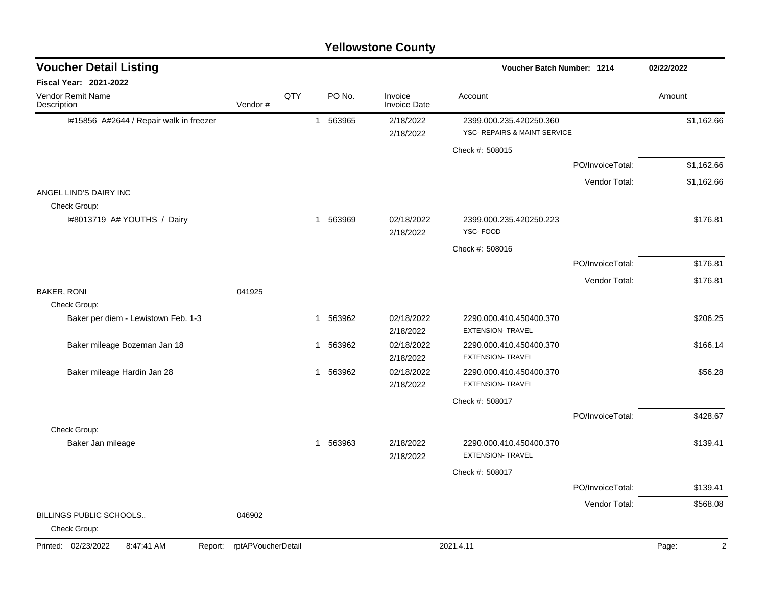|                                              |                    |     |                        | <b>Yellowstone County</b>      |                                                         |                  |                         |
|----------------------------------------------|--------------------|-----|------------------------|--------------------------------|---------------------------------------------------------|------------------|-------------------------|
| <b>Voucher Detail Listing</b>                |                    |     |                        |                                | <b>Voucher Batch Number: 1214</b>                       |                  | 02/22/2022              |
| Fiscal Year: 2021-2022                       |                    |     |                        |                                |                                                         |                  |                         |
| Vendor Remit Name<br>Description             | Vendor#            | QTY | PO No.                 | Invoice<br><b>Invoice Date</b> | Account                                                 |                  | Amount                  |
| I#15856 A#2644 / Repair walk in freezer      |                    |     | 563965<br>$\mathbf{1}$ | 2/18/2022<br>2/18/2022         | 2399.000.235.420250.360<br>YSC- REPAIRS & MAINT SERVICE |                  | \$1,162.66              |
|                                              |                    |     |                        |                                | Check #: 508015                                         |                  |                         |
|                                              |                    |     |                        |                                |                                                         | PO/InvoiceTotal: | \$1,162.66              |
|                                              |                    |     |                        |                                |                                                         | Vendor Total:    | \$1,162.66              |
| ANGEL LIND'S DAIRY INC<br>Check Group:       |                    |     |                        |                                |                                                         |                  |                         |
| I#8013719 A# YOUTHS / Dairy                  |                    |     | 1 563969               | 02/18/2022<br>2/18/2022        | 2399.000.235.420250.223<br>YSC-FOOD                     |                  | \$176.81                |
|                                              |                    |     |                        |                                | Check #: 508016                                         |                  |                         |
|                                              |                    |     |                        |                                |                                                         | PO/InvoiceTotal: | \$176.81                |
|                                              |                    |     |                        |                                |                                                         | Vendor Total:    | \$176.81                |
| <b>BAKER, RONI</b><br>Check Group:           | 041925             |     |                        |                                |                                                         |                  |                         |
| Baker per diem - Lewistown Feb. 1-3          |                    |     | 563962<br>1            | 02/18/2022<br>2/18/2022        | 2290.000.410.450400.370<br><b>EXTENSION- TRAVEL</b>     |                  | \$206.25                |
| Baker mileage Bozeman Jan 18                 |                    |     | 563962<br>$\mathbf 1$  | 02/18/2022<br>2/18/2022        | 2290.000.410.450400.370<br>EXTENSION- TRAVEL            |                  | \$166.14                |
| Baker mileage Hardin Jan 28                  |                    |     | 1 563962               | 02/18/2022<br>2/18/2022        | 2290.000.410.450400.370<br><b>EXTENSION- TRAVEL</b>     |                  | \$56.28                 |
|                                              |                    |     |                        |                                | Check #: 508017                                         |                  |                         |
|                                              |                    |     |                        |                                |                                                         | PO/InvoiceTotal: | \$428.67                |
| Check Group:                                 |                    |     |                        |                                |                                                         |                  |                         |
| Baker Jan mileage                            |                    |     | 1 563963               | 2/18/2022<br>2/18/2022         | 2290.000.410.450400.370<br><b>EXTENSION- TRAVEL</b>     |                  | \$139.41                |
|                                              |                    |     |                        |                                | Check #: 508017                                         |                  |                         |
|                                              |                    |     |                        |                                |                                                         | PO/InvoiceTotal: | \$139.41                |
|                                              |                    |     |                        |                                |                                                         | Vendor Total:    | \$568.08                |
| BILLINGS PUBLIC SCHOOLS<br>Check Group:      | 046902             |     |                        |                                |                                                         |                  |                         |
| Printed: 02/23/2022<br>8:47:41 AM<br>Report: | rptAPVoucherDetail |     |                        |                                | 2021.4.11                                               |                  | Page:<br>$\overline{2}$ |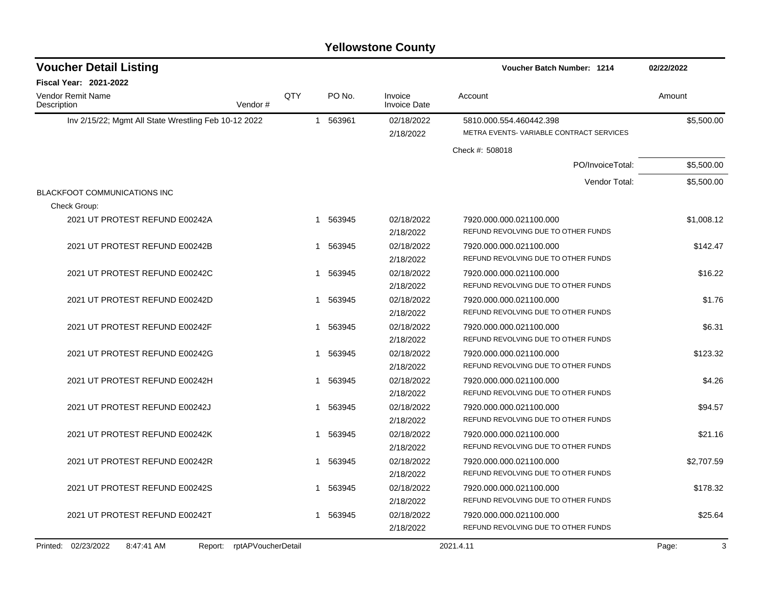| <b>Voucher Detail Listing</b>                        |                    |              | Voucher Batch Number: 1214 |                                |                                         | 02/22/2022 |  |
|------------------------------------------------------|--------------------|--------------|----------------------------|--------------------------------|-----------------------------------------|------------|--|
| <b>Fiscal Year: 2021-2022</b>                        |                    |              |                            |                                |                                         |            |  |
| Vendor Remit Name<br>Description                     | QTY<br>Vendor#     |              | PO No.                     | Invoice<br><b>Invoice Date</b> | Account                                 | Amount     |  |
| Inv 2/15/22; Mgmt All State Wrestling Feb 10-12 2022 |                    |              | 1 563961                   | 02/18/2022                     | 5810.000.554.460442.398                 | \$5,500.00 |  |
|                                                      |                    |              |                            | 2/18/2022                      | METRA EVENTS-VARIABLE CONTRACT SERVICES |            |  |
|                                                      |                    |              |                            |                                | Check #: 508018                         |            |  |
|                                                      |                    |              |                            |                                | PO/InvoiceTotal:                        | \$5,500.00 |  |
|                                                      |                    |              |                            |                                | Vendor Total:                           | \$5,500.00 |  |
| BLACKFOOT COMMUNICATIONS INC                         |                    |              |                            |                                |                                         |            |  |
| Check Group:                                         |                    |              |                            |                                |                                         |            |  |
| 2021 UT PROTEST REFUND E00242A                       |                    |              | 1 563945                   | 02/18/2022                     | 7920.000.000.021100.000                 | \$1,008.12 |  |
|                                                      |                    |              |                            | 2/18/2022                      | REFUND REVOLVING DUE TO OTHER FUNDS     |            |  |
| 2021 UT PROTEST REFUND E00242B                       |                    | 1            | 563945                     | 02/18/2022                     | 7920.000.000.021100.000                 | \$142.47   |  |
|                                                      |                    |              |                            | 2/18/2022                      | REFUND REVOLVING DUE TO OTHER FUNDS     |            |  |
| 2021 UT PROTEST REFUND E00242C                       |                    | 1            | 563945                     | 02/18/2022                     | 7920.000.000.021100.000                 | \$16.22    |  |
|                                                      |                    |              |                            | 2/18/2022                      | REFUND REVOLVING DUE TO OTHER FUNDS     |            |  |
| 2021 UT PROTEST REFUND E00242D                       |                    | $\mathbf{1}$ | 563945                     | 02/18/2022                     | 7920.000.000.021100.000                 | \$1.76     |  |
|                                                      |                    |              |                            | 2/18/2022                      | REFUND REVOLVING DUE TO OTHER FUNDS     |            |  |
| 2021 UT PROTEST REFUND E00242F                       |                    | 1            | 563945                     | 02/18/2022                     | 7920.000.000.021100.000                 | \$6.31     |  |
|                                                      |                    |              |                            | 2/18/2022                      | REFUND REVOLVING DUE TO OTHER FUNDS     |            |  |
| 2021 UT PROTEST REFUND E00242G                       |                    | 1            | 563945                     | 02/18/2022                     | 7920.000.000.021100.000                 | \$123.32   |  |
|                                                      |                    |              |                            | 2/18/2022                      | REFUND REVOLVING DUE TO OTHER FUNDS     |            |  |
| 2021 UT PROTEST REFUND E00242H                       |                    | 1            | 563945                     | 02/18/2022                     | 7920.000.000.021100.000                 | \$4.26     |  |
|                                                      |                    |              |                            | 2/18/2022                      | REFUND REVOLVING DUE TO OTHER FUNDS     |            |  |
| 2021 UT PROTEST REFUND E00242J                       |                    | 1            | 563945                     | 02/18/2022                     | 7920.000.000.021100.000                 | \$94.57    |  |
|                                                      |                    |              |                            | 2/18/2022                      | REFUND REVOLVING DUE TO OTHER FUNDS     |            |  |
| 2021 UT PROTEST REFUND E00242K                       |                    | -1           | 563945                     | 02/18/2022                     | 7920.000.000.021100.000                 | \$21.16    |  |
|                                                      |                    |              |                            | 2/18/2022                      | REFUND REVOLVING DUE TO OTHER FUNDS     |            |  |
| 2021 UT PROTEST REFUND E00242R                       |                    | 1            | 563945                     | 02/18/2022                     | 7920.000.000.021100.000                 | \$2,707.59 |  |
|                                                      |                    |              |                            | 2/18/2022                      | REFUND REVOLVING DUE TO OTHER FUNDS     |            |  |
| 2021 UT PROTEST REFUND E00242S                       |                    |              | 1 563945                   | 02/18/2022                     | 7920.000.000.021100.000                 | \$178.32   |  |
|                                                      |                    |              |                            | 2/18/2022                      | REFUND REVOLVING DUE TO OTHER FUNDS     |            |  |
| 2021 UT PROTEST REFUND E00242T                       |                    |              | 1 563945                   | 02/18/2022                     | 7920.000.000.021100.000                 | \$25.64    |  |
|                                                      |                    |              |                            | 2/18/2022                      | REFUND REVOLVING DUE TO OTHER FUNDS     |            |  |
| Printed: 02/23/2022<br>8:47:41 AM<br>Report:         | rptAPVoucherDetail |              |                            |                                | 2021.4.11                               | 3<br>Page: |  |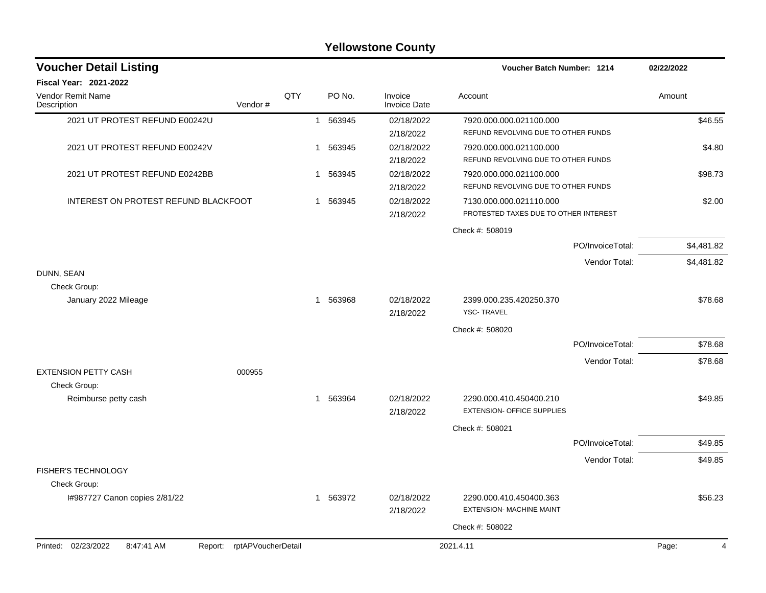|                                              |                    |     |             | <b>Yellowstone County</b>      |                                                                  |                  |            |
|----------------------------------------------|--------------------|-----|-------------|--------------------------------|------------------------------------------------------------------|------------------|------------|
| <b>Voucher Detail Listing</b>                |                    |     |             |                                | <b>Voucher Batch Number: 1214</b>                                |                  | 02/22/2022 |
| Fiscal Year: 2021-2022                       |                    |     |             |                                |                                                                  |                  |            |
| Vendor Remit Name<br>Description             | Vendor #           | QTY | PO No.      | Invoice<br><b>Invoice Date</b> | Account                                                          |                  | Amount     |
| 2021 UT PROTEST REFUND E00242U               |                    |     | 1 563945    | 02/18/2022<br>2/18/2022        | 7920.000.000.021100.000<br>REFUND REVOLVING DUE TO OTHER FUNDS   |                  | \$46.55    |
| 2021 UT PROTEST REFUND E00242V               |                    | 1   | 563945      | 02/18/2022<br>2/18/2022        | 7920.000.000.021100.000<br>REFUND REVOLVING DUE TO OTHER FUNDS   |                  | \$4.80     |
| 2021 UT PROTEST REFUND E0242BB               |                    | 1   | 563945      | 02/18/2022<br>2/18/2022        | 7920.000.000.021100.000<br>REFUND REVOLVING DUE TO OTHER FUNDS   |                  | \$98.73    |
| INTEREST ON PROTEST REFUND BLACKFOOT         |                    |     | 563945<br>1 | 02/18/2022<br>2/18/2022        | 7130.000.000.021110.000<br>PROTESTED TAXES DUE TO OTHER INTEREST |                  | \$2.00     |
|                                              |                    |     |             |                                | Check #: 508019                                                  |                  |            |
|                                              |                    |     |             |                                |                                                                  | PO/InvoiceTotal: | \$4,481.82 |
|                                              |                    |     |             |                                |                                                                  | Vendor Total:    | \$4,481.82 |
| DUNN, SEAN                                   |                    |     |             |                                |                                                                  |                  |            |
| Check Group:                                 |                    |     |             |                                |                                                                  |                  |            |
| January 2022 Mileage                         |                    |     | 563968<br>1 | 02/18/2022<br>2/18/2022        | 2399.000.235.420250.370<br><b>YSC-TRAVEL</b>                     |                  | \$78.68    |
|                                              |                    |     |             |                                | Check #: 508020                                                  |                  |            |
|                                              |                    |     |             |                                |                                                                  | PO/InvoiceTotal: | \$78.68    |
|                                              |                    |     |             |                                |                                                                  | Vendor Total:    | \$78.68    |
| <b>EXTENSION PETTY CASH</b><br>Check Group:  | 000955             |     |             |                                |                                                                  |                  |            |
| Reimburse petty cash                         |                    | 1   | 563964      | 02/18/2022<br>2/18/2022        | 2290.000.410.450400.210<br><b>EXTENSION- OFFICE SUPPLIES</b>     |                  | \$49.85    |
|                                              |                    |     |             |                                | Check #: 508021                                                  |                  |            |
|                                              |                    |     |             |                                |                                                                  | PO/InvoiceTotal: | \$49.85    |
|                                              |                    |     |             |                                |                                                                  | Vendor Total:    | \$49.85    |
| FISHER'S TECHNOLOGY<br>Check Group:          |                    |     |             |                                |                                                                  |                  |            |
| I#987727 Canon copies 2/81/22                |                    |     | 563972<br>1 | 02/18/2022<br>2/18/2022        | 2290.000.410.450400.363<br><b>EXTENSION- MACHINE MAINT</b>       |                  | \$56.23    |
|                                              |                    |     |             |                                | Check #: 508022                                                  |                  |            |
| Printed: 02/23/2022<br>8:47:41 AM<br>Report: | rptAPVoucherDetail |     |             |                                | 2021.4.11                                                        |                  | Page:<br>4 |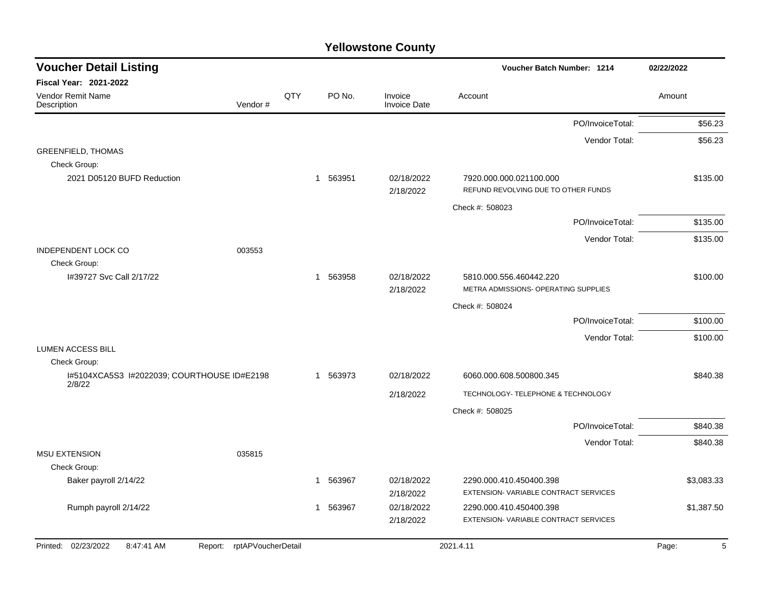| <b>Fiscal Year: 2021-2022</b><br>QTY<br>PO No.<br>Vendor Remit Name<br>Invoice<br>Account<br>Amount<br>Vendor#<br><b>Invoice Date</b><br>Description<br>PO/InvoiceTotal:<br>\$56.23<br>\$56.23<br>Vendor Total:<br><b>GREENFIELD, THOMAS</b><br>Check Group:<br>2021 D05120 BUFD Reduction<br>563951<br>02/18/2022<br>\$135.00<br>7920.000.000.021100.000<br>$\mathbf{1}$<br>REFUND REVOLVING DUE TO OTHER FUNDS<br>2/18/2022<br>Check #: 508023<br>PO/InvoiceTotal:<br>\$135.00<br>Vendor Total:<br>\$135.00<br><b>INDEPENDENT LOCK CO</b><br>003553<br>Check Group:<br>I#39727 Svc Call 2/17/22<br>563958<br>02/18/2022<br>\$100.00<br>$\mathbf{1}$<br>5810.000.556.460442.220<br>METRA ADMISSIONS- OPERATING SUPPLIES<br>2/18/2022<br>Check #: 508024<br>\$100.00<br>PO/InvoiceTotal: | <b>Voucher Detail Listing</b> |  |  | Voucher Batch Number: 1214 |               | 02/22/2022 |
|------------------------------------------------------------------------------------------------------------------------------------------------------------------------------------------------------------------------------------------------------------------------------------------------------------------------------------------------------------------------------------------------------------------------------------------------------------------------------------------------------------------------------------------------------------------------------------------------------------------------------------------------------------------------------------------------------------------------------------------------------------------------------------------|-------------------------------|--|--|----------------------------|---------------|------------|
|                                                                                                                                                                                                                                                                                                                                                                                                                                                                                                                                                                                                                                                                                                                                                                                          |                               |  |  |                            |               |            |
|                                                                                                                                                                                                                                                                                                                                                                                                                                                                                                                                                                                                                                                                                                                                                                                          |                               |  |  |                            |               |            |
|                                                                                                                                                                                                                                                                                                                                                                                                                                                                                                                                                                                                                                                                                                                                                                                          |                               |  |  |                            |               |            |
|                                                                                                                                                                                                                                                                                                                                                                                                                                                                                                                                                                                                                                                                                                                                                                                          |                               |  |  |                            |               |            |
|                                                                                                                                                                                                                                                                                                                                                                                                                                                                                                                                                                                                                                                                                                                                                                                          |                               |  |  |                            |               |            |
|                                                                                                                                                                                                                                                                                                                                                                                                                                                                                                                                                                                                                                                                                                                                                                                          |                               |  |  |                            |               |            |
|                                                                                                                                                                                                                                                                                                                                                                                                                                                                                                                                                                                                                                                                                                                                                                                          |                               |  |  |                            |               |            |
|                                                                                                                                                                                                                                                                                                                                                                                                                                                                                                                                                                                                                                                                                                                                                                                          |                               |  |  |                            |               |            |
|                                                                                                                                                                                                                                                                                                                                                                                                                                                                                                                                                                                                                                                                                                                                                                                          |                               |  |  |                            |               |            |
|                                                                                                                                                                                                                                                                                                                                                                                                                                                                                                                                                                                                                                                                                                                                                                                          |                               |  |  |                            |               |            |
|                                                                                                                                                                                                                                                                                                                                                                                                                                                                                                                                                                                                                                                                                                                                                                                          |                               |  |  |                            |               |            |
|                                                                                                                                                                                                                                                                                                                                                                                                                                                                                                                                                                                                                                                                                                                                                                                          |                               |  |  |                            |               |            |
|                                                                                                                                                                                                                                                                                                                                                                                                                                                                                                                                                                                                                                                                                                                                                                                          |                               |  |  |                            |               |            |
|                                                                                                                                                                                                                                                                                                                                                                                                                                                                                                                                                                                                                                                                                                                                                                                          |                               |  |  |                            |               |            |
|                                                                                                                                                                                                                                                                                                                                                                                                                                                                                                                                                                                                                                                                                                                                                                                          |                               |  |  |                            |               |            |
|                                                                                                                                                                                                                                                                                                                                                                                                                                                                                                                                                                                                                                                                                                                                                                                          |                               |  |  |                            | Vendor Total: | \$100.00   |
| <b>LUMEN ACCESS BILL</b>                                                                                                                                                                                                                                                                                                                                                                                                                                                                                                                                                                                                                                                                                                                                                                 |                               |  |  |                            |               |            |
| Check Group:                                                                                                                                                                                                                                                                                                                                                                                                                                                                                                                                                                                                                                                                                                                                                                             |                               |  |  |                            |               |            |
| I#5104XCA5S3 I#2022039; COURTHOUSE ID#E2198<br>\$840.38<br>563973<br>02/18/2022<br>6060.000.608.500800.345<br>$\mathbf{1}$<br>2/8/22                                                                                                                                                                                                                                                                                                                                                                                                                                                                                                                                                                                                                                                     |                               |  |  |                            |               |            |
| TECHNOLOGY- TELEPHONE & TECHNOLOGY<br>2/18/2022                                                                                                                                                                                                                                                                                                                                                                                                                                                                                                                                                                                                                                                                                                                                          |                               |  |  |                            |               |            |
| Check #: 508025                                                                                                                                                                                                                                                                                                                                                                                                                                                                                                                                                                                                                                                                                                                                                                          |                               |  |  |                            |               |            |
| PO/InvoiceTotal:<br>\$840.38                                                                                                                                                                                                                                                                                                                                                                                                                                                                                                                                                                                                                                                                                                                                                             |                               |  |  |                            |               |            |
| Vendor Total:<br>\$840.38                                                                                                                                                                                                                                                                                                                                                                                                                                                                                                                                                                                                                                                                                                                                                                |                               |  |  |                            |               |            |
| <b>MSU EXTENSION</b><br>035815                                                                                                                                                                                                                                                                                                                                                                                                                                                                                                                                                                                                                                                                                                                                                           |                               |  |  |                            |               |            |
| Check Group:<br>563967<br>02/18/2022<br>\$3,083.33<br>2290.000.410.450400.398<br>$\mathbf{1}$                                                                                                                                                                                                                                                                                                                                                                                                                                                                                                                                                                                                                                                                                            |                               |  |  |                            |               |            |
| Baker payroll 2/14/22<br>EXTENSION-VARIABLE CONTRACT SERVICES<br>2/18/2022                                                                                                                                                                                                                                                                                                                                                                                                                                                                                                                                                                                                                                                                                                               |                               |  |  |                            |               |            |
| Rumph payroll 2/14/22<br>563967<br>02/18/2022<br>\$1,387.50<br>2290.000.410.450400.398<br>$\mathbf{1}$                                                                                                                                                                                                                                                                                                                                                                                                                                                                                                                                                                                                                                                                                   |                               |  |  |                            |               |            |
| EXTENSION-VARIABLE CONTRACT SERVICES<br>2/18/2022                                                                                                                                                                                                                                                                                                                                                                                                                                                                                                                                                                                                                                                                                                                                        |                               |  |  |                            |               |            |
| Printed: 02/23/2022<br>8:47:41 AM<br>rptAPVoucherDetail<br>2021.4.11<br>5<br>Report:<br>Page:                                                                                                                                                                                                                                                                                                                                                                                                                                                                                                                                                                                                                                                                                            |                               |  |  |                            |               |            |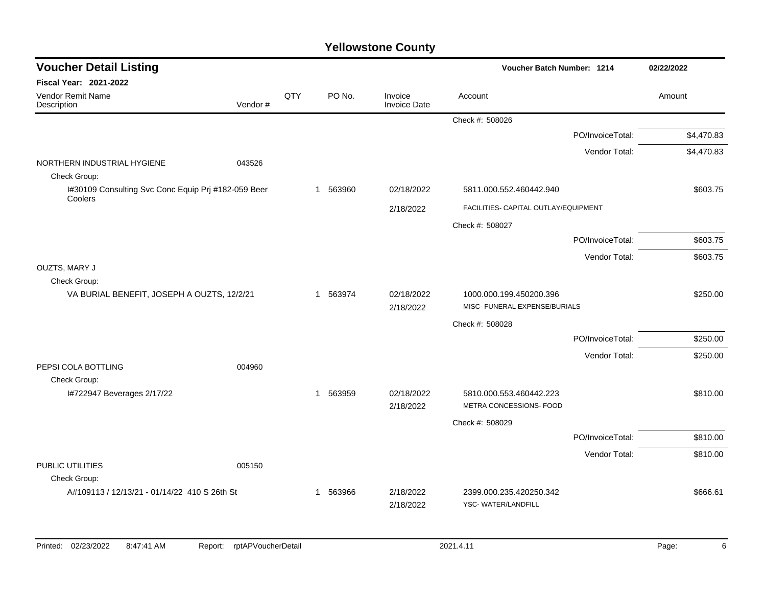| <b>Voucher Detail Listing</b>                                  |                               |     |             |                                | Voucher Batch Number: 1214                         |                  | 02/22/2022 |
|----------------------------------------------------------------|-------------------------------|-----|-------------|--------------------------------|----------------------------------------------------|------------------|------------|
| Fiscal Year: 2021-2022                                         |                               |     |             |                                |                                                    |                  |            |
| Vendor Remit Name<br>Description                               | Vendor#                       | QTY | PO No.      | Invoice<br><b>Invoice Date</b> | Account                                            |                  | Amount     |
|                                                                |                               |     |             |                                | Check #: 508026                                    |                  |            |
|                                                                |                               |     |             |                                |                                                    | PO/InvoiceTotal: | \$4,470.83 |
|                                                                |                               |     |             |                                |                                                    | Vendor Total:    | \$4,470.83 |
| NORTHERN INDUSTRIAL HYGIENE<br>Check Group:                    | 043526                        |     |             |                                |                                                    |                  |            |
| I#30109 Consulting Svc Conc Equip Prj #182-059 Beer<br>Coolers |                               |     | 563960<br>1 | 02/18/2022                     | 5811.000.552.460442.940                            |                  | \$603.75   |
|                                                                |                               |     |             | 2/18/2022                      | FACILITIES- CAPITAL OUTLAY/EQUIPMENT               |                  |            |
|                                                                |                               |     |             |                                | Check #: 508027                                    |                  |            |
|                                                                |                               |     |             |                                |                                                    | PO/InvoiceTotal: | \$603.75   |
|                                                                |                               |     |             |                                |                                                    | Vendor Total:    | \$603.75   |
| <b>OUZTS, MARY J</b>                                           |                               |     |             |                                |                                                    |                  |            |
| Check Group:<br>VA BURIAL BENEFIT, JOSEPH A OUZTS, 12/2/21     |                               |     | 563974<br>1 | 02/18/2022                     | 1000.000.199.450200.396                            |                  | \$250.00   |
|                                                                |                               |     |             | 2/18/2022                      | MISC- FUNERAL EXPENSE/BURIALS                      |                  |            |
|                                                                |                               |     |             |                                | Check #: 508028                                    |                  |            |
|                                                                |                               |     |             |                                |                                                    | PO/InvoiceTotal: | \$250.00   |
|                                                                |                               |     |             |                                |                                                    | Vendor Total:    | \$250.00   |
| PEPSI COLA BOTTLING                                            | 004960                        |     |             |                                |                                                    |                  |            |
| Check Group:                                                   |                               |     |             |                                |                                                    |                  |            |
| I#722947 Beverages 2/17/22                                     |                               |     | 563959<br>1 | 02/18/2022<br>2/18/2022        | 5810.000.553.460442.223<br>METRA CONCESSIONS- FOOD |                  | \$810.00   |
|                                                                |                               |     |             |                                | Check #: 508029                                    |                  |            |
|                                                                |                               |     |             |                                |                                                    | PO/InvoiceTotal: | \$810.00   |
|                                                                |                               |     |             |                                |                                                    | Vendor Total:    | \$810.00   |
| PUBLIC UTILITIES                                               | 005150                        |     |             |                                |                                                    |                  |            |
| Check Group:                                                   |                               |     |             |                                |                                                    |                  |            |
| A#109113 / 12/13/21 - 01/14/22 410 S 26th St                   |                               |     | 563966<br>1 | 2/18/2022<br>2/18/2022         | 2399.000.235.420250.342<br>YSC-WATER/LANDFILL      |                  | \$666.61   |
|                                                                |                               |     |             |                                |                                                    |                  |            |
| Printed: 02/23/2022<br>8:47:41 AM                              | rptAPVoucherDetail<br>Report: |     |             |                                | 2021.4.11                                          |                  | Page:<br>6 |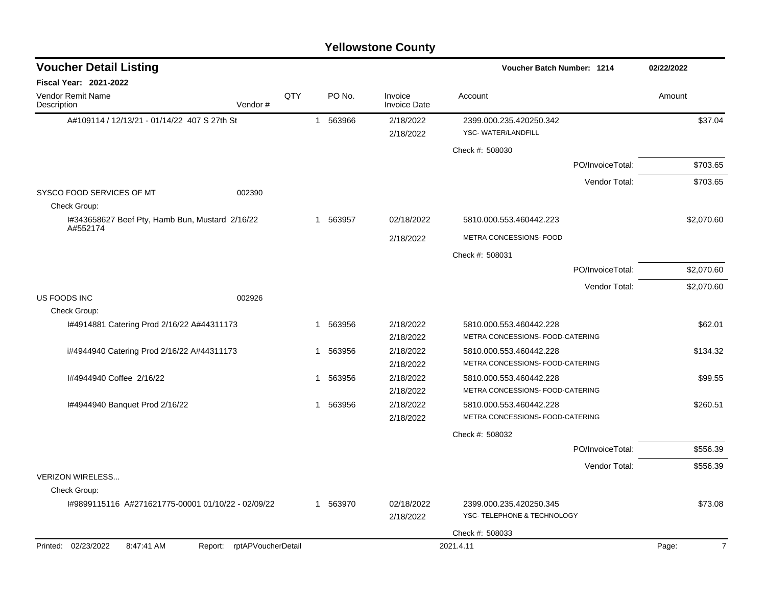| <b>Voucher Detail Listing</b>                                   |     |          |                                | Voucher Batch Number: 1214                    | 02/22/2022              |
|-----------------------------------------------------------------|-----|----------|--------------------------------|-----------------------------------------------|-------------------------|
| Fiscal Year: 2021-2022                                          |     |          |                                |                                               |                         |
| Vendor Remit Name<br>Description<br>Vendor#                     | QTY | PO No.   | Invoice<br><b>Invoice Date</b> | Account                                       | Amount                  |
| A#109114 / 12/13/21 - 01/14/22 407 S 27th St                    |     | 1 563966 | 2/18/2022<br>2/18/2022         | 2399.000.235.420250.342<br>YSC-WATER/LANDFILL | \$37.04                 |
|                                                                 |     |          |                                | Check #: 508030                               |                         |
|                                                                 |     |          |                                | PO/InvoiceTotal:                              | \$703.65                |
|                                                                 |     |          |                                | Vendor Total:                                 | \$703.65                |
| SYSCO FOOD SERVICES OF MT<br>002390<br>Check Group:             |     |          |                                |                                               |                         |
| I#343658627 Beef Pty, Hamb Bun, Mustard 2/16/22                 | 1   | 563957   | 02/18/2022                     | 5810.000.553.460442.223                       | \$2,070.60              |
| A#552174                                                        |     |          | 2/18/2022                      | METRA CONCESSIONS- FOOD                       |                         |
|                                                                 |     |          |                                | Check #: 508031                               |                         |
|                                                                 |     |          |                                | PO/InvoiceTotal:                              | \$2,070.60              |
|                                                                 |     |          |                                | Vendor Total:                                 | \$2,070.60              |
| US FOODS INC<br>002926                                          |     |          |                                |                                               |                         |
| Check Group:                                                    |     |          |                                |                                               |                         |
| I#4914881 Catering Prod 2/16/22 A#44311173                      |     | 563956   | 2/18/2022                      | 5810.000.553.460442.228                       | \$62.01                 |
|                                                                 |     |          | 2/18/2022                      | METRA CONCESSIONS- FOOD-CATERING              |                         |
| i#4944940 Catering Prod 2/16/22 A#44311173                      |     | 563956   | 2/18/2022                      | 5810.000.553.460442.228                       | \$134.32                |
|                                                                 |     |          | 2/18/2022                      | METRA CONCESSIONS- FOOD-CATERING              |                         |
| I#4944940 Coffee 2/16/22                                        |     | 563956   | 2/18/2022                      | 5810.000.553.460442.228                       | \$99.55                 |
|                                                                 |     |          | 2/18/2022                      | METRA CONCESSIONS- FOOD-CATERING              |                         |
| I#4944940 Banquet Prod 2/16/22                                  | -1  | 563956   | 2/18/2022                      | 5810.000.553.460442.228                       | \$260.51                |
|                                                                 |     |          | 2/18/2022                      | METRA CONCESSIONS- FOOD-CATERING              |                         |
|                                                                 |     |          |                                | Check #: 508032                               |                         |
|                                                                 |     |          |                                | PO/InvoiceTotal:                              | \$556.39                |
|                                                                 |     |          |                                | Vendor Total:                                 | \$556.39                |
| <b>VERIZON WIRELESS</b>                                         |     |          |                                |                                               |                         |
| Check Group:                                                    |     |          |                                |                                               |                         |
| I#9899115116 A#271621775-00001 01/10/22 - 02/09/22              | 1   | 563970   | 02/18/2022                     | 2399.000.235.420250.345                       | \$73.08                 |
|                                                                 |     |          | 2/18/2022                      | YSC- TELEPHONE & TECHNOLOGY                   |                         |
|                                                                 |     |          |                                | Check #: 508033                               |                         |
| Printed: 02/23/2022<br>Report: rptAPVoucherDetail<br>8:47:41 AM |     |          |                                | 2021.4.11                                     | $\overline{7}$<br>Page: |